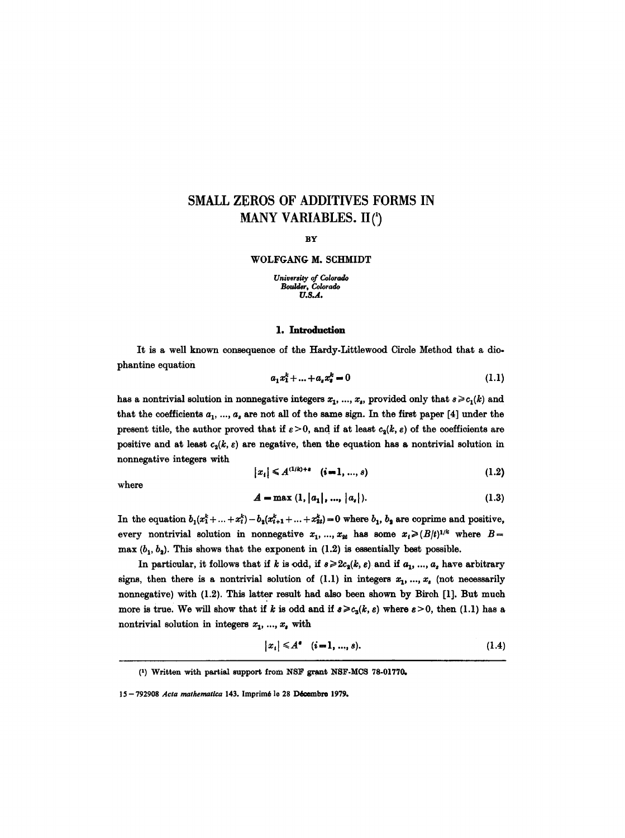# **SMALL ZEROS OF ADDITIVES FORMS IN MANY VARIABLES. II(')**

**BY** 

#### WOLFGANG M. SCHMIDT

*University of Colorado Boulder~ Colorado U.S.A.* 

## **1. Introduction**

It is a well known consequence of the Hardy-Littlewood Circle Method that a diophantine equation

$$
a_1 x_1^k + \ldots + a_s x_s^k = 0 \tag{1.1}
$$

has a nontrivial solution in nonnegative integers  $x_1, ..., x_s$ , provided only that  $s \geq c_1(k)$  and that the coefficients  $a_1, ..., a_s$  are not all of the same sign. In the first paper [4] under the present title, the author proved that if  $\varepsilon > 0$ , and if at least  $c_3(k, \varepsilon)$  of the coefficients are positive and at least  $c_2(k, \varepsilon)$  are negative, then the equation has a nontrivial solution in nonnegative integers with

$$
|x_i| \leq A^{(1/k)+\epsilon} \quad (i=1,\ldots,s) \tag{1.2}
$$

where

$$
A = \max (1, |a_1|, ..., |a_s|). \tag{1.3}
$$

In the equation  $b_1(x_1^k + ... + x_t^k) - b_2(x_{t+1}^k + ... + x_{2t}^k) = 0$  where  $b_1, b_2$  are coprime and positive, every nontrivial solution in nonnegative  $x_1, ..., x_{2t}$  has some  $x_i \geq (B/t)^{1/k}$  where  $B =$ max  $(b_1, b_2)$ . This shows that the exponent in (1.2) is essentially best possible.

In particular, it follows that if k is odd, if  $s \geqslant 2c_2(k, \varepsilon)$  and if  $a_1, ..., a_s$  have arbitrary signs, then there is a nontrivial solution of (1.1) in integers  $x_1, ..., x_s$  (not necessarily nonnegative) with (1.2). This latter result had also been shown by Birch [1]. But much more is true. We will show that if k is odd and if  $s \geq c_3(k, \varepsilon)$  where  $\varepsilon > 0$ , then (1.1) has a nontrivial solution in integers  $x_1, ..., x_s$  with

$$
|x_i| \leq A^{\bullet} \quad (i=1,\ldots,s). \tag{1.4}
$$

<sup>(1)</sup> Written with partial support from NSF grant NSF-MCS 78-01770.

<sup>15-792908</sup> *Acta mathematica* 143. Imprimé le 28 Décembre 1979.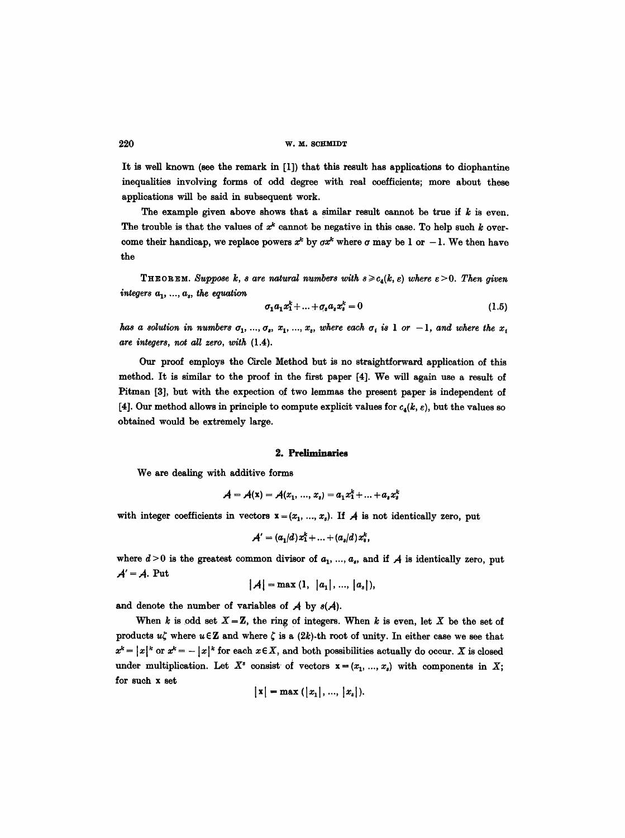It is well known (see the remark in [1]) that this result has applications to diophantine inequalities involving forms of odd degree with real coefficients; more about these applications will be said in subsequent work.

The example given above shows that a similar result cannot be true if  $k$  is even. The trouble is that the values of  $x^k$  cannot be negative in this case. To help such k overcome their handicap, we replace powers  $x^k$  by  $\sigma x^k$  where  $\sigma$  may be 1 or -1. We then have the

**THEOREM.** Suppose *k*, *s* are natural numbers with  $s \ge c_4(k, \varepsilon)$  where  $\varepsilon > 0$ . Then given *integers*  $a_1, ..., a_s$ , the equation

$$
\sigma_1 a_1 x_1^k + \ldots + \sigma_s a_s x_s^k = 0 \tag{1.5}
$$

*has a solution in numbers*  $a_1, ..., a_s, x_1, ..., x_s$ , where each  $a_i$  is 1 or  $-1$ , and where the x<sub>i</sub> *are integers, not all zero, with* (1.4).

Our proof employs the Circle Method but is no straightforward application of this method. It is similar to the proof in the first paper [4]. We will again use a result of Pitman [3], but with the expection of two lemmas the present paper is independent of [4]. Our method allows in principle to compute explicit values for  $c_4(k, \varepsilon)$ , but the values so obtained would be extremely large.

### **2. Preliminaries**

We are dealing with additive forms

$$
A = A(x) = A(x_1, ..., x_s) = a_1 x_1^k + ... + a_s x_s^k
$$

with integer coefficients in vectors  $x = (x_1, ..., x_s)$ . If A is not identically zero, put

$$
A' = (a_1/d)x_1^k + \ldots + (a_s/d)x_s^k,
$$

where  $d>0$  is the greatest common divisor of  $a_1, ..., a_s$ , and if  $A$  is identically zero, put  $A' = A$ . Put

 $|A| = \max(1, |a_1|, ..., |a_s|),$ 

and denote the number of variables of  $A$  by  $s(A)$ .

When k is odd set  $X = \mathbb{Z}$ , the ring of integers. When k is even, let X be the set of products  $u\zeta$  where  $u \in \mathbb{Z}$  and where  $\zeta$  is a (2k)-th root of unity. In either case we see that  $x^k = |x|^k$  or  $x^k = -|x|^k$  for each  $x \in X$ , and both possibilities actually do occur. X is closed under multiplication. Let  $X^s$  consist of vectors  $x = (x_1, ..., x_s)$  with components in X; for such x set

$$
|x| = max (|x_1|, ..., |x_s|).
$$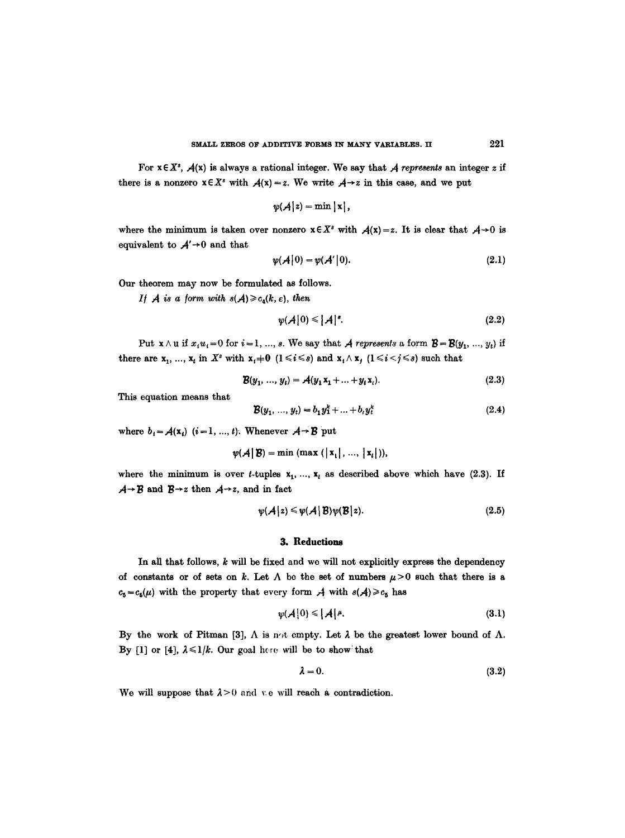For  $x \in X^s$ ,  $A(x)$  is always a rational integer. We say that A *represents* an integer z if there is a nonzero  $x \in X^s$  with  $A(x) = z$ . We write  $A \rightarrow z$  in this case, and we put

$$
\psi(\mathcal{A}\big|z) = \min\big|x\big|,
$$

where the minimum is taken over nonzero  $x \in X^s$  with  $A(x)=z$ . It is clear that  $A\rightarrow 0$  is equivalent to  $A' \rightarrow 0$  and that

$$
\psi(\mathcal{A}|0) = \psi(\mathcal{A}'|0). \tag{2.1}
$$

Our theorem may now be formulated as follows.

*If A* is a form with  $s(A) \ge c_4(k, \varepsilon)$ , then

$$
\psi(A|0) \leqslant |A|^s. \tag{2.2}
$$

Put  $\mathbf{x} \wedge \mathbf{u}$  if  $x_i u_i = 0$  for  $i = 1, ..., s$ . We say that A *represents* a form  $\mathbf{B} = \mathbf{B}(y_1, ..., y_t)$  if there are  $x_1, ..., x_t$  in  $X^s$  with  $x_i+0$   $(1 \leq i \leq s)$  and  $x_i \wedge x_j$   $(1 \leq i \leq j \leq s)$  such that

$$
\mathbf{B}(y_1, ..., y_t) = \mathbf{A}(y_1 \mathbf{x}_1 + ... + y_t \mathbf{x}_t). \tag{2.3}
$$

This equation means that

$$
\mathcal{B}(y_1, ..., y_t) = b_1 y_1^k + ... + b_t y_t^k
$$
 (2.4)

where  $b_i = A(x_i)$   $(i=1, ..., t)$ . Whenever  $A \rightarrow B$  put

$$
\psi(\mathcal{A} \mid \mathcal{B}) = \min \left( \max \left( |x_1|, ..., |x_t| \right) \right),
$$

where the minimum is over t-tuples  $x_1, ..., x_t$  as described above which have (2.3). If  $A \rightarrow B$  and  $B \rightarrow z$  then  $A \rightarrow z$ , and in fact

$$
\psi(\mathcal{A}|z) \leqslant \psi(\mathcal{A}|B)\psi(B|z). \tag{2.5}
$$

## **3. Reductions**

In all that follows,  $k$  will be fixed and we will not explicitly express the dependency of constants or of sets on k. Let  $\Lambda$  be the set of numbers  $\mu$  >0 such that there is a  $c_5 = c_5(\mu)$  with the property that every form  $\mathcal{A}$  with  $s(\mathcal{A}) \geq c_5$  has

$$
\psi(\mathcal{A}|0) \leq |\mathcal{A}|\mathbf{\mu}.\tag{3.1}
$$

By the work of Pitman [3],  $\Lambda$  is n<sub>/t</sub> empty. Let  $\lambda$  be the greatest lower bound of  $\Lambda$ . By [1] or [4],  $\lambda \leq 1/k$ . Our goal here will be to show that

$$
\lambda = 0. \tag{3.2}
$$

We will suppose that  $\lambda > 0$  and  $\psi$  e will reach a contradiction.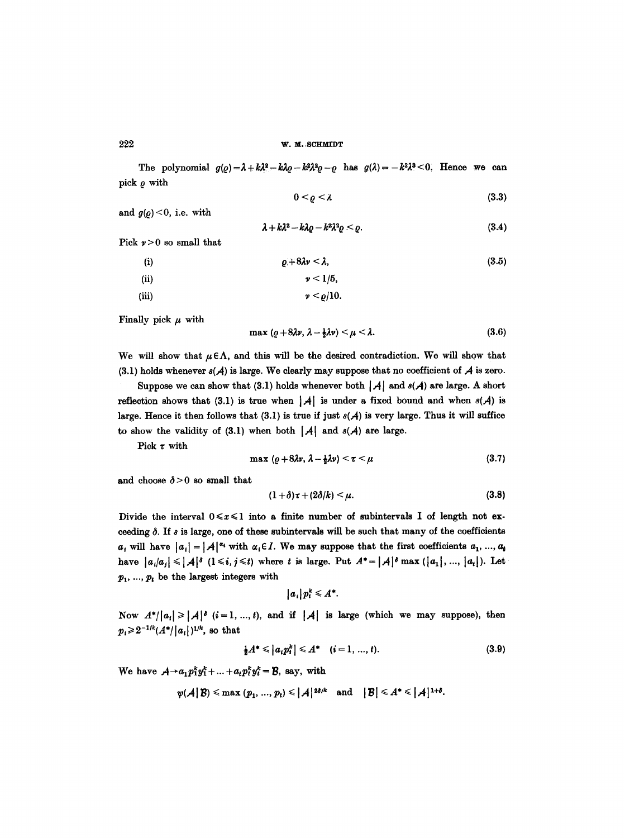The polynomial  $g(\varrho) = \lambda + k\lambda^2 - k\lambda\varrho - k^2\lambda^2\varrho - \varrho$  has  $g(\lambda) = -k^2\lambda^3 < 0$ . Hence we can pick  $\rho$  with

$$
0 < \varrho < \lambda \tag{3.3}
$$

and  $g(\rho) < 0$ , i.e. with

$$
\lambda + k\lambda^2 - k\lambda\varrho - k^2\lambda^2\varrho < \varrho. \tag{3.4}
$$

Pick  $\nu > 0$  so small that

(i)  
\n(ii)  
\n(i) 
$$
\rho+8\lambda\nu < \lambda
$$
, (3.5)  
\n(v)  $\nu < 1/5$ ,  
\n(vii)  
\n $\nu < \rho/10$ .

Finally pick  $\mu$  with

$$
\max\left(\varrho+8\lambda\nu,\,\lambda-\tfrac{1}{2}\lambda\nu\right)<\mu<\lambda.\tag{3.6}
$$

We will show that  $\mu \in \Lambda$ , and this will be the desired contradiction. We will show that (3.1) holds whenever  $s(A)$  is large. We clearly may suppose that no coefficient of A is zero.

Suppose we can show that (3.1) holds whenever both  $|\mathcal{A}|$  and  $s(\mathcal{A})$  are large. A short reflection shows that (3.1) is true when  $|A|$  is under a fixed bound and when  $s(A)$  is large. Hence it then follows that (3.1) is true if just  $s(A)$  is very large. Thus it will suffice to show the validity of (3.1) when both  $|\mathcal{A}|$  and  $s(\mathcal{A})$  are large.

Pick  $\tau$  with

$$
\max\left(\varrho+8\lambda\nu,\,\lambda-\tfrac{1}{2}\lambda\nu\right)<\tau<\mu\tag{3.7}
$$

and choose  $\delta > 0$  so small that

$$
(1+\delta)\tau+(2\delta/k)<\mu.
$$
 (3.8)

Divide the interval  $0 \le x \le 1$  into a finite number of subintervals I of length not exceeding  $\delta$ . If  $\delta$  is large, one of these subintervals will be such that many of the coefficients  $a_i$  will have  $|a_i| = |A|^{\alpha_i}$  with  $\alpha_i \in I$ . We may suppose that the first coefficients  $a_1, ..., a_t$ have  $|a_i/a_j| \leqslant |A|^{\delta}$   $(1 \leqslant i, j \leqslant t)$  where t is large. Put  $A^* = |A|^{\delta} \max (|a_1|, ..., |a_t|)$ . Let  $p_1, ..., p_t$  be the largest integers with

$$
|a_i|p_i^k \leq A^*.
$$

Now  $A^*||a_i| \geq |A|^s$   $(i=1, ..., t)$ , and if  $|A|$  is large (which we may suppose), then  $p_i \geq 2^{-1/k} (A^* / |a_i|)^{1/k}$ , so that

$$
\frac{1}{2}A^* \leqslant |a_i p_i^k| \leqslant A^* \quad (i = 1, ..., t). \tag{3.9}
$$

We have  $A \rightarrow a_1 p_1^k y_1^k + \ldots + a_t p_t^k y_t^k = B$ , say, with

$$
\psi(\mathcal{A}\,|\, \mathcal{B})\leqslant \max\,(p_1,\,...,\,p_t)\leqslant |\mathcal{A}\,|^{\,2\delta/k}\quad \text{and}\quad \big|\mathcal{B}\big|\leqslant A^{\ast}\leqslant |\mathcal{A}\,|^{\,1+\delta}.
$$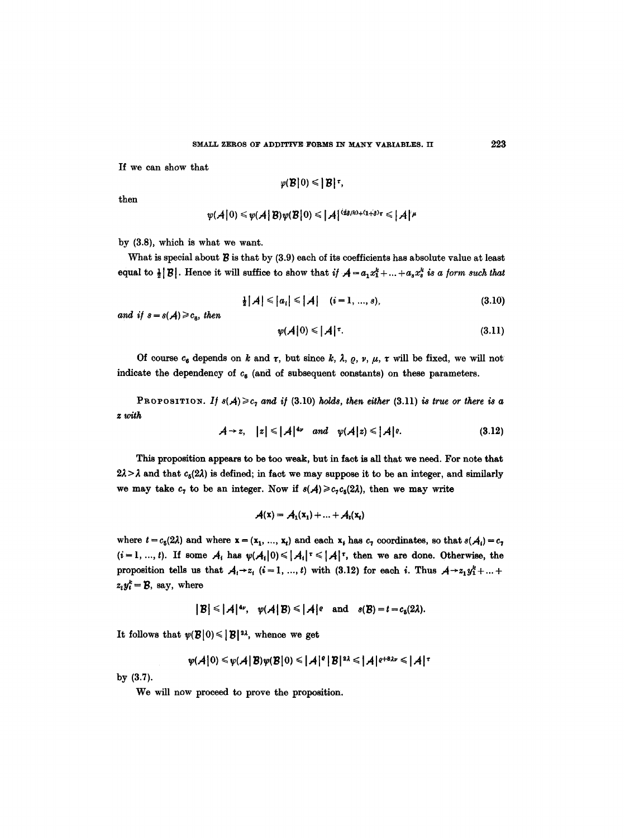If we can show that

$$
\varphi(\mathcal{B}|0)\leq |\mathcal{B}|^{\tau},
$$

then

$$
\psi(\mathcal{A}|0) \leq \psi(\mathcal{A}|B)\psi(B|0) \leq |\mathcal{A}|^{\{q_{\delta/k}\}+(1+\delta)\tau} \leq |\mathcal{A}|^{\mu}
$$

by (3.8), which is what we want.

What is special about  $\mathcal B$  is that by (3.9) each of its coefficients has absolute value at least equal to  $\frac{1}{2}|\mathcal{B}|$ . Hence it will suffice to show that *if*  $\mathcal{A} = a_1 x_1^k + ... + a_s x_s^k$  *is a form such that* 

$$
\frac{1}{2}|\mathcal{A}| \leqslant |a_i| \leqslant |\mathcal{A}| \quad (i=1,\ldots,s), \tag{3.10}
$$

*and if*  $s = s(A) \geq c_{\alpha}$ , then

$$
\psi(\mathcal{A}|0) \leqslant |\mathcal{A}|^{\tau}.\tag{3.11}
$$

Of course  $c_6$  depends on k and  $\tau$ , but since k,  $\lambda$ ,  $\varrho$ ,  $\nu$ ,  $\mu$ ,  $\tau$  will be fixed, we will not indicate the dependency of  $c_8$  (and of subsequent constants) on these parameters.

PROPOSITION. If  $s(A) \geq c_7$  and if (3.10) holds, then either (3.11) is true or there is a *z with* 

$$
\mathcal{A} \rightarrow z, \quad |z| \leq |\mathcal{A}|^{4\nu} \quad \text{and} \quad \psi(\mathcal{A}|z) \leq |\mathcal{A}|^{e}. \tag{3.12}
$$

This proposition appears to be too weak, but in fact is all that we need. For note that  $2\lambda > \lambda$  and that  $c_6(2\lambda)$  is defined; in fact we may suppose it to be an integer, and similarly we may take  $c_7$  to be an integer. Now if  $s(A) \geq c_7 c_6(2\lambda)$ , then we may write

$$
\mathcal{A}(\mathbf{x}) = \mathcal{A}_1(\mathbf{x}_1) + \ldots + \mathcal{A}_t(\mathbf{x}_t)
$$

where  $t = c_5(2\lambda)$  and where  $x = (x_1, ..., x_t)$  and each  $x_t$  has  $c_7$  coordinates, so that  $s(\mathcal{A}_t) = c_7$  $(i=1, ..., t)$ . If some  $A_i$  has  $\psi(A_i|0) \leq |A_i|^{\tau} \leq |A|^{\tau}$ , then we are done. Otherwise, the proposition tells us that  $A_i \rightarrow z_i$   $(i=1, ..., t)$  with (3.12) for each i. Thus  $A \rightarrow z_1 y_1^k + ...$  $z_i y_i^k = \mathcal{B}$ , say, where

$$
|\mathcal{B}| \leq |\mathcal{A}|^{4\nu}, \quad \psi(\mathcal{A}|\mathcal{B}) \leq |\mathcal{A}|^{e} \quad \text{and} \quad s(\mathcal{B}) = t = c_{s}(2\lambda).
$$

It follows that  $\psi(\mathcal{B}|0) \leq |\mathcal{B}|^{2\lambda}$ , whence we get

$$
\psi(\mathcal{A}|0) \leq \psi(\mathcal{A}|B)\psi(B|0) \leq |\mathcal{A}|^{e}|B|^{2\lambda} \leq |\mathcal{A}|^{e+8\lambda\nu} \leq |\mathcal{A}|^{\tau}
$$

by (3.7).

We will now proceed to prove the proposition.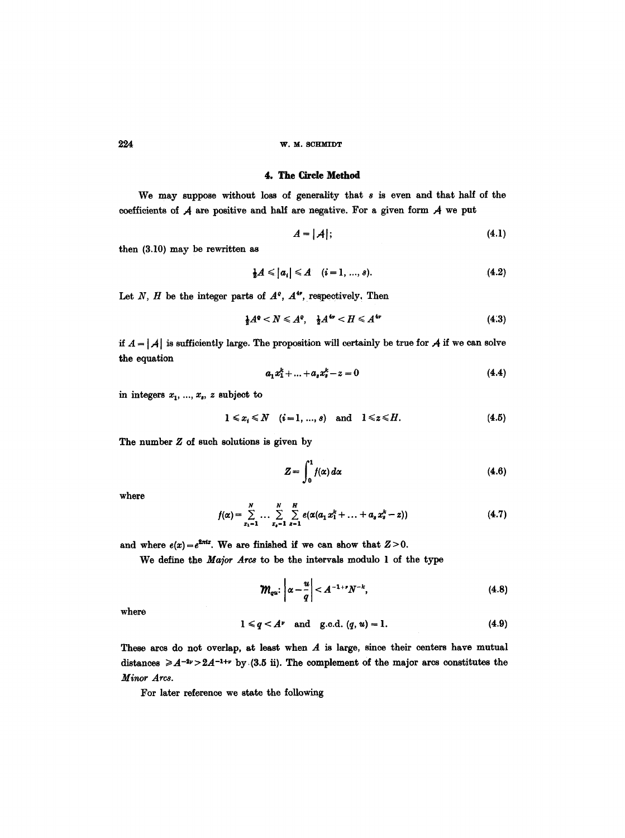## **224 w.M. SCHMTDT**

# 4. The Circle Method

We may suppose without loss of generality that s is even and that half of the coefficients of  $A$  are positive and half are negative. For a given form  $A$  we put

$$
A = |A|; \tag{4.1}
$$

then (3.10) may be rewritten as

$$
\frac{1}{2}A \leq |a_i| \leq A \quad (i = 1, ..., s). \tag{4.2}
$$

Let N, H be the integer parts of  $A^e$ ,  $A^{4*}$ , respectively, Then

$$
\frac{1}{2}A^{\circ} < N \leqslant A^{\circ}, \quad \frac{1}{2}A^{4\nu} < H \leqslant A^{4\nu} \tag{4.3}
$$

if  $A = |A|$  is sufficiently large. The proposition will certainly be true for A if we can solve the equation

$$
a_1 x_1^k + \dots + a_s x_s^k - z = 0 \tag{4.4}
$$

in integers  $x_1, ..., x_s$ , z subject to

$$
1\leqslant x_i\leqslant N \quad (i=1,\ldots,s) \quad \text{and} \quad 1\leqslant z\leqslant H. \tag{4.5}
$$

The number  $Z$  of such solutions is given by

$$
Z = \int_0^1 f(\alpha) \, d\alpha \tag{4.6}
$$

where

$$
f(\alpha) = \sum_{x_1=1}^N \dots \sum_{x_q=1}^N \sum_{s=1}^N e(\alpha(a_1 x_1^k + \dots + a_s x_s^k - z)) \qquad (4.7)
$$

and where  $e(x) = e^{2\pi ix}$ . We are finished if we can show that  $Z > 0$ .

We define the *Major Arcs to* be the intervals modulo 1 of the type

$$
\mathcal{W}_{qu}: \left| \alpha - \frac{u}{q} \right| < A^{-1+r} N^{-k}, \tag{4.8}
$$

where

$$
1 \leq q \leq A^{\nu} \quad \text{and} \quad g.c.d. (q, u) = 1. \tag{4.9}
$$

These arcs do not overlap, at least when  $A$  is large, since their centers have mutual distances  $\geqslant A^{-2\nu} > 2A^{-1+\nu}$  by (3.5 ii). The complement of the major arcs constitutes the *Minor Arcs.* 

For later reference we state the following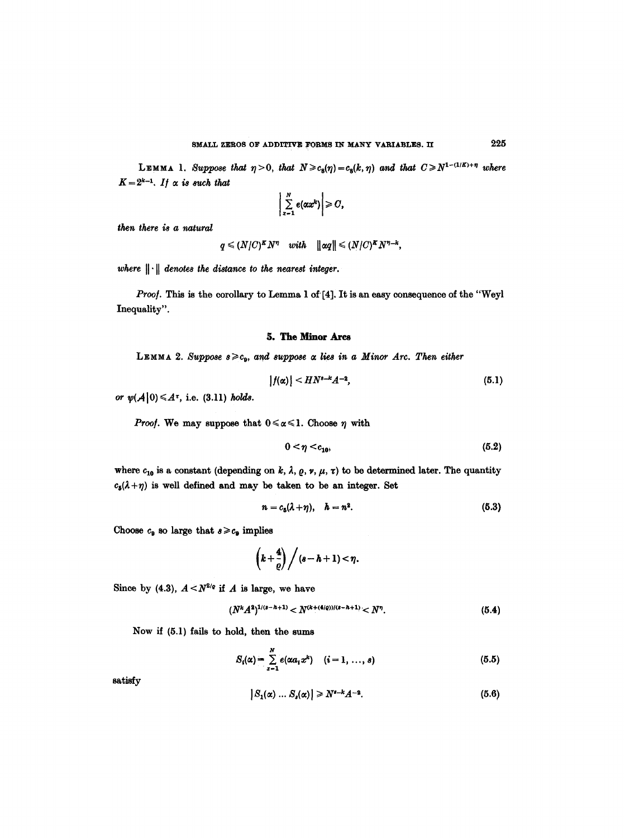LEMMA 1. Suppose that  $\eta > 0$ , that  $N \ge c_8(\eta) = c_8(k, \eta)$  and that  $C \ge N^{1-(1/K)+\eta}$  where  $K = 2^{k-1}$ *. If*  $\alpha$  *is such that* 

$$
\left|\sum_{x=1}^N e(\alpha x^k)\right|\geqslant C,
$$

*then there is a natural* 

$$
q \leq (N/C)^K N^{\eta} \quad with \quad ||\alpha q|| \leq (N/C)^K N^{\eta-k},
$$

where  $\|\cdot\|$  denotes the distance to the nearest integer.

Proof. This is the corollary to Lemma 1 of [4]. It is an easy consequence of the "Weyl Inequality".

## 5. The Minor Ares

LEMMA 2. Suppose  $s \geq c_9$ , and suppose  $\alpha$  lies in a Minor Arc. Then either

$$
|f(\alpha)| < H N^{s-k} A^{-2}, \tag{5.1}
$$

or  $\psi(A|0) \leq A^{\tau}$ , i.e. (3.11) holds.

*Proof.* We may suppose that  $0 \le \alpha \le 1$ . Choose  $\eta$  with

$$
0<\eta
$$

where  $c_{10}$  is a constant (depending on k,  $\lambda$ ,  $\rho$ ,  $\nu$ ,  $\mu$ ,  $\tau$ ) to be determined later. The quantity  $c_5(\lambda+\eta)$  is well defined and may be taken to be an integer. Set

$$
n = c_5(\lambda + \eta), \quad h = n^2. \tag{5.3}
$$

Choose  $c_9$  so large that  $s \geq c_9$  implies

$$
\left(k+\frac{4}{\varrho}\right)\bigg/ (s-h+1)<\eta.
$$

Since by (4.3),  $A < N^{2/q}$  if A is large, we have

$$
(N^kA^2)^{1/(s-h+1)} < N^{(k+(4/q))/(s-h+1)} < N^\eta. \tag{5.4}
$$

Now if (5.1) fails to hold, then the sums

$$
S_i(\alpha) = \sum_{x=1}^{N} e(\alpha a_i x^k) \quad (i = 1, ..., s)
$$
 (5.5)

satisfy

$$
|S_1(\alpha) \dots S_s(\alpha)| \geq N^{s-k} A^{-2}.
$$
 (5.6)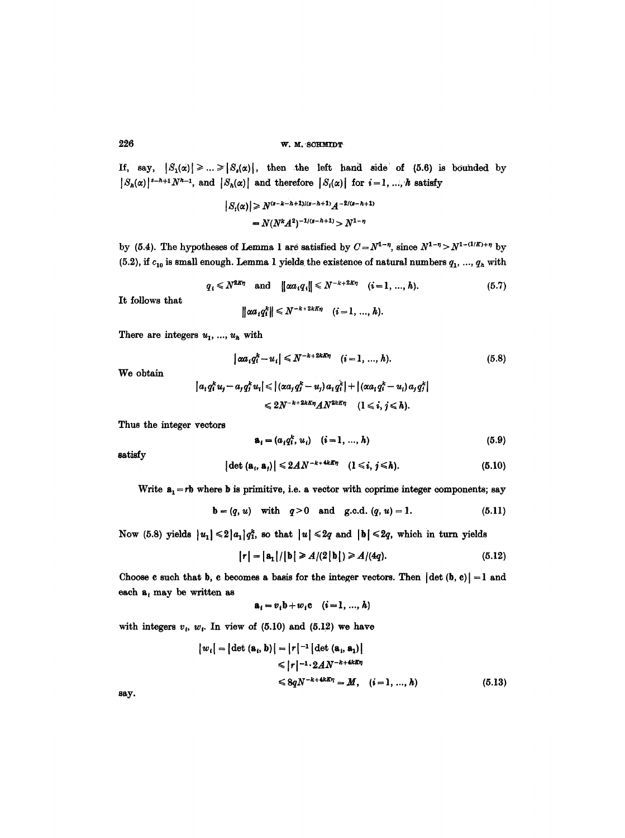**226 w.M. SOHMIDT** 

If, say,  $|S_1(x)| \geq ... \geq |S_s(x)|$ , then the left hand side of (5.6) is bounded by  $|S_h(\alpha)|^{s-h+1}N^{h-1}$ , and  $|S_h(\alpha)|$  and therefore  $|S_i(\alpha)|$  for  $i=1, ..., h$  satisfy

$$
|S_i(\alpha)| \ge N^{(s-k-h+1)/(s-h+1)}A^{-2/(s-h+1)}
$$
  
=  $N(N^kA^2)^{-1/(s-h+1)} > N^{1-\eta}$ 

by (5.4). The hypotheses of Lemma 1 are satisfied by  $C=N^{1-\eta}$ , since  $N^{1-\eta} > N^{1-(1/K)+\eta}$  by (5.2), if  $c_{10}$  is small enough. Lemma 1 yields the existence of natural numbers  $q_1, ..., q_h$  with

$$
q_i \leq N^{2K\eta}
$$
 and  $\|\alpha a_i q_i\| \leq N^{-k+2K\eta}$   $(i = 1, ..., h).$  (5.7)

It follows that

$$
\|\alpha a_i q_i^k\| \leq N^{-k+2kK\eta} \quad (i=1,\ldots,h).
$$

There are integers  $u_1, ..., u_k$  with

$$
|\alpha a_i q_i^k - u_i| \le N^{-k+2kK\eta} \quad (i = 1, ..., h). \tag{5.8}
$$

We obtain

$$
|a_i q_i^k u_j - a_j q_j^k u_i| \leqslant |(\alpha a_i q_j^k - u_j) a_i q_i^k| + |(\alpha a_i q_i^k - u_i) a_j q_j^k|
$$
  

$$
\leqslant 2N^{-k+2k\kappa\eta} A N^{2k\kappa\eta} \quad (1 \leqslant i, j \leqslant h).
$$

Thus the integer vectors

$$
\mathbf{a}_i = (a_i q_i^k, u_i) \quad (i = 1, ..., h)
$$
 (5.9)

satisfy

$$
|\det\left(\mathbf{a}_{i},\mathbf{a}_{j}\right)| \leqslant 2AN^{-k+4k\mathbb{E}\eta} \quad (1 \leqslant i,\,j \leqslant h). \tag{5.10}
$$

Write  $a_1 = rb$  where b is primitive, i.e. a vector with coprime integer components; say

**b** = 
$$
(q, u)
$$
 with  $q > 0$  and g.c.d.  $(q, u) = 1$ . (5.11)

Now (5.8) yields  $|u_1| \leq 2|a_1|q_1^k$ , so that  $|u| \leq 2q$  and  $|b| \leq 2q$ , which in turn yields

$$
|\mathbf{r}| = |\mathbf{a}_1|/|\mathbf{b}| \ge A/(2|\mathbf{b}|) \ge A/(4q). \tag{5.12}
$$

Choose c such that b, c becomes a basis for the integer vectors. Then  $| \det (b, c) | = 1$  and each  $a_i$  may be written as

$$
\mathbf{a}_i = v_i \mathbf{b} + w_i \mathbf{c} \quad (i = 1, \ldots, h)
$$

with integers  $v_i$ ,  $w_i$ . In view of (5.10) and (5.12) we have

$$
|w_i| = |\det(\mathbf{a}_i, \mathbf{b})| = |r|^{-1} |\det(\mathbf{a}_i, \mathbf{a}_1)|
$$
  
\n
$$
\leq |r|^{-1} \cdot 2AN^{-k+4kK\eta}
$$
  
\n
$$
\leq 8qN^{-k+4kK\eta} = M, \quad (i = 1, ..., h)
$$
 (5.13)

say.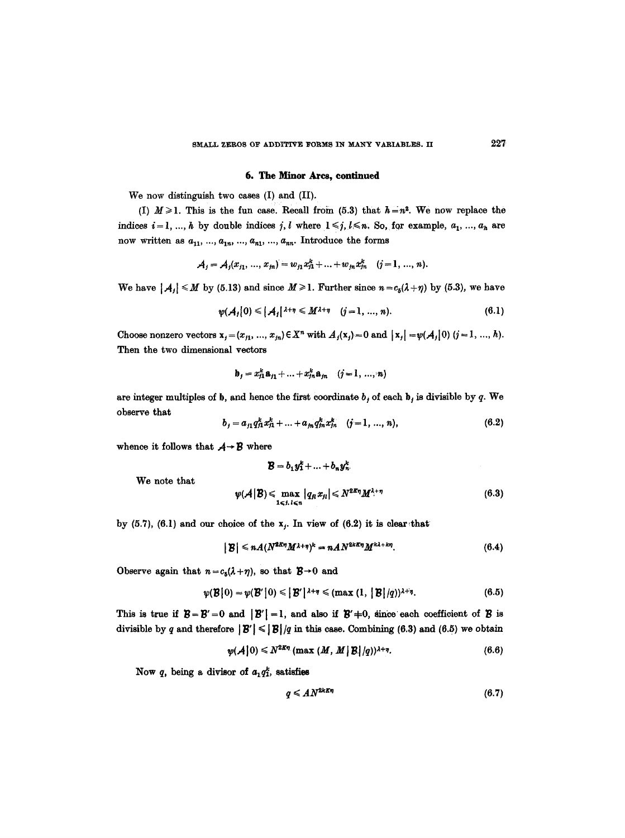## **6. The Minor Arcs, continued**

We now distinguish two cases (I) and (II).

(I)  $M \ge 1$ . This is the fun case. Recall from (5.3) that  $h = n^2$ . We now replace the indices  $i=1, ..., h$  by double indices j, l where  $1 \leq j, l \leq n$ . So, for example,  $a_1, ..., a_h$  are now written as  $a_{11}, ..., a_{1n}, ..., a_{n1}, ..., a_{nn}$ . Introduce the forms

$$
A_j = A_j(x_{j_1}, ..., x_{j_n}) = w_{j_1}x_1^k + ... + w_{j_n}x_{j_n}^k \quad (j = 1, ..., n).
$$

We have  $|A_j| \le M$  by (5.13) and since  $M \ge 1$ . Further since  $n = c_s(\lambda + \eta)$  by (5.3), we have

$$
\psi(A_i|0) \leq |A_i|^{2+\eta} \leq M^{2+\eta} \quad (j=1,\dots,n). \tag{6.1}
$$

Choose nonzero vectors  $x_j = (x_{j1}, ..., x_{jn}) \in X^n$  with  $A_j(x_j) = 0$  and  $|x_j| = \psi(A_j|0)$   $(j = 1, ..., h)$ . Then the two dimensional vectors

$$
\mathbf{b}_{j} = x_{j1}^{k} \mathbf{a}_{j1} + \ldots + x_{jn}^{k} \mathbf{a}_{jn} \quad (j = 1, \ldots, n)
$$

are integer multiples of b, and hence the first coordinate  $b_j$  of each  $b_j$  is divisible by q. We observe that

$$
b_j = a_{j1} q_{j1}^k x_{j1}^k + \ldots + a_{jn} q_{jn}^k x_{jn}^k \quad (j = 1, \ldots, n), \tag{6.2}
$$

whence it follows that  $A \rightarrow B$  where

We note that

$$
\mathcal{B} = b_1 y_1^k + \ldots + b_n y_n^k
$$
  

$$
\psi(\mathcal{A} | \mathcal{B}) \leqslant \max_{1 \leqslant j, l \leqslant n} |q_n x_{j_l}| \leqslant N^{2\mathcal{B}\eta} M^{\lambda + \eta}
$$

by (5.7), (6.1) and our choice of the  $x_i$ . In view of (6.2) it is clear that

$$
|\mathbf{B}| \leqslant n A (N^{2K\eta} M^{\lambda+\eta})^k = n A N^{2kK\eta} M^{k\lambda+k\eta}.
$$
 (6.4)

Observe again that  $n = c_5(\lambda + \eta)$ , so that  $\mathcal{B} \rightarrow 0$  and

$$
\psi(\mathcal{B}|0) = \psi(\mathcal{B}'|0) \leqslant |\mathcal{B}'|^{1+\eta} \leqslant (\max(1, |\mathcal{B}|/q))^{1+\eta}.
$$
\n(6.5)

This is true if  $B = B' = 0$  and  $|B'| = 1$ , and also if  $B' \neq 0$ , since each coefficient of B is divisible by q and therefore  $||\mathbf{B}'|| \le ||\mathbf{B}||/q$  in this case. Combining (6.3) and (6.5) we obtain

$$
\psi(\mathcal{A}|0) \leq N^{2K\eta} \left( \max\left( M, M \,|\, \mathcal{B} \,|\, /q \right) \right)^{\lambda+\eta} . \tag{6.6}
$$

Now q, being a divisor of  $a_1 q_1^k$ , satisfies

$$
q \leq A N^{2kK\eta} \tag{6.7}
$$

 $(6.3)$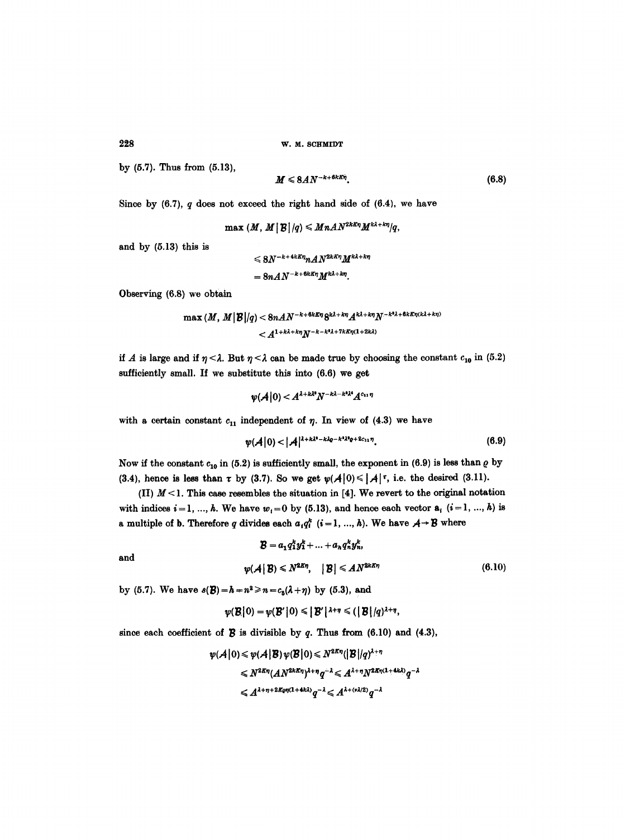228 W. M. SCHMIDT

by (5.7). Thus from (5.13),

$$
M \leqslant 8AN^{-k+6k\pi n}.\tag{6.8}
$$

Since by  $(6.7)$ , q does not exceed the right hand side of  $(6.4)$ , we have

$$
\max (M, M \,|\, \mathcal{B} \,|\, /q) \leqslant MnAN^{2kKn}M^{k\lambda + k\eta}/q,
$$

and by (5.13) this is

$$
\leqslant 8N^{-k+4kK\eta}nAN^{2kK\eta}M^{k\lambda+k\eta}
$$

$$
=8nAN^{-k+6kK\eta}M^{k\lambda+k\eta}
$$

Observing (6.8) we obtain

$$
\max\left(M,M\big|\mathcal{B}\big|/q\right) < 8nAN^{-k+6kK\eta}8^{k\lambda+k\eta}A^{k\lambda+k\eta}N^{-k^3\lambda+6kK\eta(k\lambda+k\eta)}
$$
  

$$
< A^{1+k\lambda+k\eta}N^{-k-k^3\lambda+7kK\eta(1+2k\lambda)}
$$

if A is large and if  $\eta < \lambda$ . But  $\eta < \lambda$  can be made true by choosing the constant  $c_{10}$  in (5.2) sufficiently small. If we substitute this into (6.6) we get

$$
\psi(\mathcal{A}|0) < A^{\lambda + k\lambda^2} N^{-k\lambda - k^2\lambda^4} A^{c_{11}\eta}
$$

with a certain constant  $c_{11}$  independent of  $\eta$ . In view of (4.3) we have

$$
\psi(A|0) < |A|^{1+k\lambda^2-k\lambda^2} e^{-k^2\lambda^2} e^{12c_{11}\eta}.
$$
\n(6.9)

Now if the constant  $c_{10}$  in (5.2) is sufficiently small, the exponent in (6.9) is less than  $\rho$  by (3.4), hence is less than  $\tau$  by (3.7). So we get  $\psi(A|0) \leq |A| \tau$ , i.e. the desired (3.11).

(II)  $M < 1$ . This case resembles the situation in [4]. We revert to the original notation with indices  $i = 1, ..., h$ . We have  $w_i = 0$  by (5.13), and hence each vector  $a_i$   $(i = 1, ..., h)$  is a multiple of **b**. Therefore q divides each  $a_i q_i^k$   $(i=1, ..., h)$ . We have  $A \rightarrow B$  where

$$
\mathcal{B} = a_1 q_1^k y_1^k + \ldots + a_n q_n^k y_n^k,
$$
  

$$
\psi(\mathcal{A} | \mathcal{B}) \le N^{2K\eta}, \quad |\mathcal{B}| \le AN^{2kK\eta}
$$
 (6.10)

by (5.7). We have  $s(B) = h = n^2 \ge n = c_5(\lambda + \eta)$  by (5.3), and

$$
\psi(\mathcal{B}|0) = \psi(\mathcal{B}'|0) \leq |\mathcal{B}'|^{ \lambda + \eta} \leq (|\mathcal{B}|/q)^{\lambda + \eta},
$$

since each coefficient of  $\boldsymbol{\mathcal{B}}$  is divisible by  $q$ . Thus from (6.10) and (4.3),

$$
\begin{aligned} \psi(\mathcal{A}|0) &\leq \psi(\mathcal{A}|B) \, \psi(\mathcal{B}|0) \leq N^{2K\eta} \big( |B| / q \big)^{1+\eta} \\ &\leq N^{2K\eta} (A N^{2KK\eta})^{\lambda+\eta} q^{-\lambda} \leqslant A^{\lambda+\eta} N^{2K\eta(1+4k\lambda)} q^{-\lambda} \\ &\leqslant A^{\lambda+\eta+2K\eta(1+4k\lambda)} q^{-\lambda} \leqslant A^{\lambda+(\nu\lambda/2)} q^{-\lambda} \end{aligned}
$$

and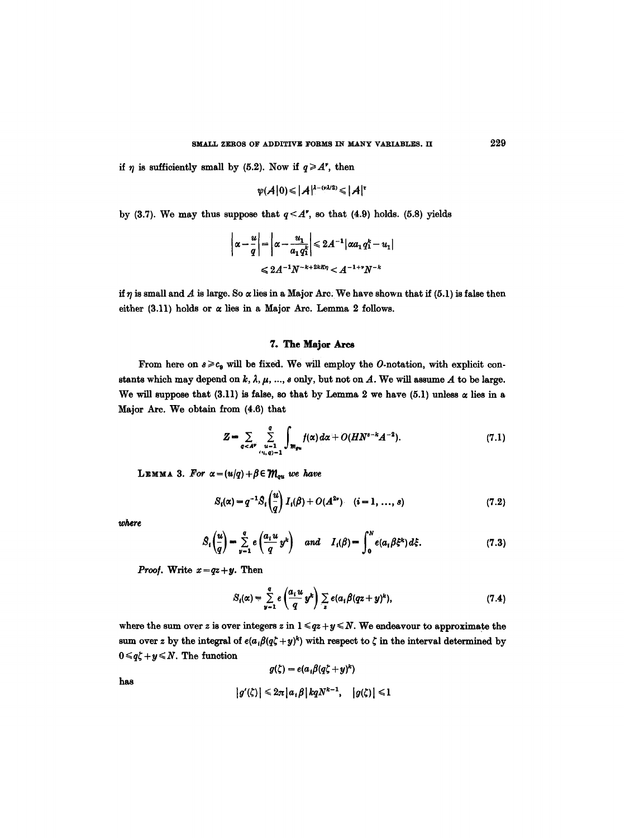if  $\eta$  is sufficiently small by (5.2). Now if  $q \geq A^{\prime}$ , then

$$
\psi(\mathcal{A}|0) \leqslant |\mathcal{A}|^{\lambda-(\nu\lambda/2)} \leqslant |\mathcal{A}|^{\tau}
$$

by (3.7). We may thus suppose that  $q < A^*$ , so that (4.9) holds. (5.8) yields

$$
\left|\alpha - \frac{u}{q}\right| = \left|\alpha - \frac{u_1}{a_1 q_1^k}\right| \leq 2A^{-1} |\alpha a_1 q_1^k - u_1|
$$
  

$$
\leq 2A^{-1}N^{-k+2kK\eta} < A^{-1+\gamma}N^{-k}
$$

if  $\eta$  is small and  $A$  is large. So  $\alpha$  lies in a Major Arc. We have shown that if (5.1) is false then either (3.11) holds or  $\alpha$  lies in a Major Arc. Lemma 2 follows.

# **7. The Major** Ares

From here on  $s \geq c_9$  will be fixed. We will employ the O-notation, with explicit constants which may depend on k,  $\lambda$ ,  $\mu$ , ...,  $s$  only, but not on  $A$ . We will assume  $A$  to be large. We will suppose that (3.11) is false, so that by Lemma 2 we have (5.1) unless  $\alpha$  lies in a Major Are. We obtain from (4.6) that

$$
Z = \sum_{\alpha < A^{\nu}} \sum_{\substack{\mu=1 \\ (u, q) = 1}}^{q} \int_{m_{gu}} f(\alpha) d\alpha + O(HN^{s-k}A^{-2}). \tag{7.1}
$$

LEMMA 3. For  $\alpha = (u/q) + \beta \in \mathcal{M}_{qu}$  we have

 $\mathbf{r}$ 

$$
S_i(\alpha) = q^{-1} S_i\left(\frac{u}{q}\right) I_i(\beta) + O(A^{2\nu}). \quad (i = 1, ..., s)
$$
 (7.2)

where

$$
S_i\left(\frac{u}{q}\right) = \sum_{\nu=1}^q e\left(\frac{a_i u}{q} y^k\right) \quad and \quad I_i(\beta) = \int_0^N e(a_i \beta \xi^k) d\xi. \tag{7.3}
$$

*Proof.* Write  $x = qz + y$ . Then

$$
S_i(\alpha) = \sum_{y=1}^q e\left(\frac{a_i u}{q} y^k\right) \sum_z e(a_i \beta (qz + y)^k), \qquad (7.4)
$$

where the sum over z is over integers z in  $1 \le qz + y \le N$ . We endeavour to approximate the sum over z by the integral of  $e(a_i\beta(q\zeta + y)^k)$  with respect to  $\zeta$  in the interval determined by  $0 \leqslant q\zeta + y \leqslant N$ . The function

$$
g(\zeta) = e(a_i \beta (q\zeta + y)^k)
$$
  

$$
|g'(\zeta)| \leq 2\pi |a_i \beta| kqN^{k-1}, |g(\zeta)| \leq 1
$$

has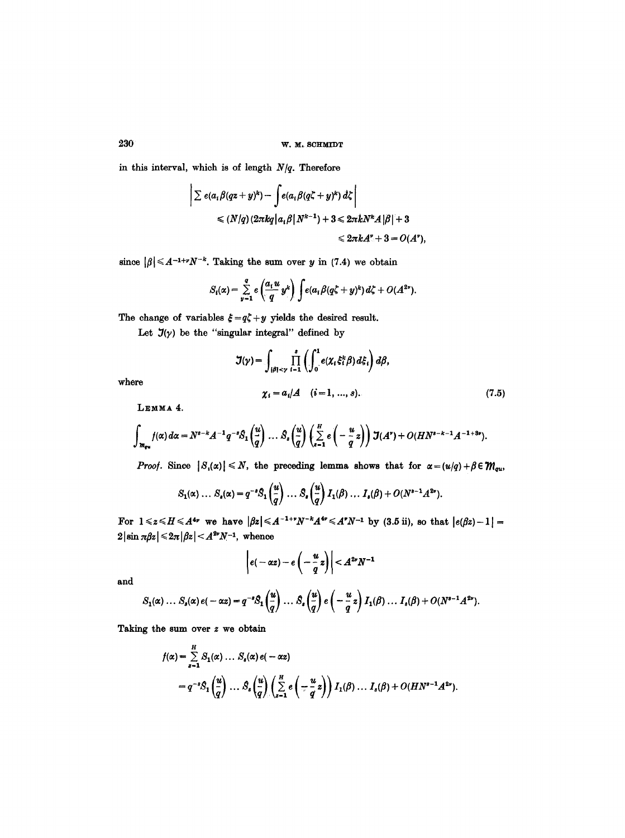in this interval, which is of length  $N/q$ . Therefore

$$
\left| \sum e(a_i \beta(qz + y)^k) - \int e(a_i \beta(q\zeta + y)^k) d\zeta \right|
$$
  
\$\leq (N/q) (2\pi kq | a\_i \beta | N^{k-1}) + 3 \leq 2\pi k N^k A |\beta| + 3\$  
\$\leq 2\pi k A' + 3 = O(A'),\$

since  $|\beta| \leq A^{-1+\nu}N^{-k}$ . Taking the sum over y in (7.4) we obtain

$$
S_i(\alpha) = \sum_{y=1}^q e\left(\frac{a_i u}{q} y^k\right) \int e(a_i \beta (q\zeta + y)^k) d\zeta + O(A^{2\nu}).
$$

The change of variables  $\xi = q\zeta + y$  yields the desired result.

Let  $J(\gamma)$  be the "singular integral" defined by

$$
\mathcal{J}(\gamma) = \int_{|\beta| < \gamma} \prod_{i=1}^{s} \left( \int_{0}^{1} e(\chi_{i} \xi_{i}^{k} \beta) d\xi_{i} \right) d\beta,
$$
  

$$
\chi_{i} = a_{i}/A \quad (i = 1, ..., s).
$$
 (7.5)

where

**LEMMA 4.** 

$$
\int_{\mathcal{M}_{qu}} f(\alpha) d\alpha = N^{s-k} A^{-1} q^{-s} \mathcal{S}_1\left(\frac{u}{q}\right) \ldots \mathcal{S}_s\left(\frac{u}{q}\right) \left(\sum_{s=1}^H e\left(-\frac{u}{q}z\right)\right) \mathcal{J}(A^*) + O(HN^{s-k-1}A^{-1+3s}).
$$

*Proof.* Since  $|S_n(\alpha)| \leq N$ , the preceding lemma shows that for  $\alpha = (u/q) + \beta \in \mathcal{M}_{qu}$ ,

$$
S_1(\alpha) \ldots S_s(\alpha) = q^{-s} S_1\left(\frac{u}{q}\right) \ldots S_s\left(\frac{u}{q}\right) I_1(\beta) \ldots I_s(\beta) + O(N^{s-1}A^{2s}).
$$

 $\text{For } 1 \leqslant z \leqslant H \leqslant A^{4\nu} \text{ we have } |\beta z| \leqslant A^{-1+\nu} N^{-\kappa} A^{4\nu} \leqslant A^{\nu} N^{-1} \text{ by (3.5 ii), so that } |e(\beta z) - 1| = 1$  $2\left|\sin \pi \beta z\right| \leq 2\pi \left|\beta z\right| < A^{2\nu}N^{-1}$ , whence

$$
\left|e(-\alpha z)-e\left(-\frac{u}{q}z\right)\right|
$$

and

$$
S_1(\alpha) \ldots S_s(\alpha) e(-\alpha z) = q^{-s} S_1\left(\frac{u}{q}\right) \ldots S_s\left(\frac{u}{q}\right) e\left(-\frac{u}{q}z\right) I_1(\beta) \ldots I_s(\beta) + O(N^{s-1}A^{2s}).
$$

Taking the sum over z we obtain

$$
f(\alpha) = \sum_{s=1}^{H} S_1(\alpha) \dots S_s(\alpha) e(-\alpha z)
$$
  
=  $q^{-s} S_1\left(\frac{u}{q}\right) \dots S_s\left(\frac{u}{q}\right) \left(\sum_{s=1}^{H} e\left(-\frac{u}{q}z\right)\right) I_1(\beta) \dots I_s(\beta) + O(HN^{s-1}A^{2s}).$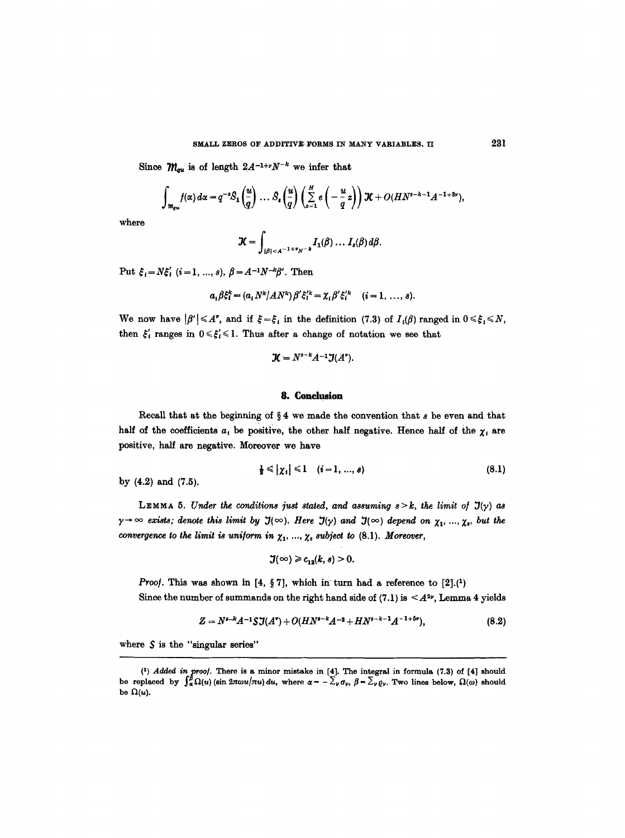Since  $\mathcal{M}_{qu}$  is of length  $2A^{-1+\nu}N^{-k}$  we infer that

$$
\int_{m_{qu}} f(\alpha) d\alpha = q^{-s} \mathcal{S}_1\left(\frac{u}{q}\right) \ldots \mathcal{S}_s\left(\frac{u}{q}\right) \left(\sum_{z=1}^H e\left(-\frac{u}{q}z\right)\right) \mathcal{K} + O(HN^{s-k-1}A^{-1+8\nu}),
$$

where

$$
\mathcal{K}=\int_{|\beta|
$$

Put  $\xi_i = N\xi'_i$  (i=1, ..., s),  $\beta = A^{-1}N^{-k}\beta'$ . Then

$$
a_i \beta \xi_i^k = (a_i N^k / A N^k) \beta' \xi_i^{\prime k} = \chi_i \beta' \xi_i^{\prime k} \quad (i = 1, ..., s).
$$

We now have  $|\beta'| \leq A^*$ , and if  $\xi = \xi_i$  in the definition (7.3) of  $I_i(\beta)$  ranged in  $0 \leq \xi_i \leq N$ , then  $\xi'_i$  ranges in  $0 \leq \xi'_i \leq 1$ . Thus after a change of notation we see that

$$
\mathcal{K}=N^{s-k}A^{-1}\mathcal{J}(A^{\prime}).
$$

#### **8. Conclusion**

Recall that at the beginning of  $\S 4$  we made the convention that  $s$  be even and that half of the coefficients  $a_i$  be positive, the other half negative. Hence half of the  $\chi_i$  are positive, half are negative. Moreover we have

$$
\frac{1}{2} \leqslant |\chi_i| \leqslant 1 \quad (i=1,\ldots,s) \tag{8.1}
$$

by (4.2) and (7.5).

LEMMA 5. *Under the conditions just stated, and assuming*  $s > k$ *, the limit of*  $J(y)$  *as*  $\gamma \to \infty$  exists; denote this limit by  $\mathfrak{I}(\infty)$ . Here  $\mathfrak{I}(\gamma)$  and  $\mathfrak{I}(\infty)$  depend on  $\chi_1, ..., \chi_s$ , but the *convergence to the limit is uniform in*  $\chi_1, ..., \chi_s$  *subject to* (8.1). *Moreover*,

$$
\mathfrak{I}(\infty)\geqslant c_{12}(k,s)\geqslant 0.
$$

*Proof.* This was shown in  $[4, \S 7]$ , which in turn had a reference to  $[2] \cdot (1)$ Since the number of summands on the right hand side of  $(7.1)$  is  $\leq A^{2\nu}$ , Lemma 4 yields

$$
Z = N^{s-k}A^{-1}SJ(A^*) + O(HN^{s-k}A^{-2} + HN^{s-k-1}A^{-1+5s}), \qquad (8.2)
$$

where  $S$  is the "singular series"

<sup>(1)</sup> Added in proof. There is a minor mistake in  $[4]$ . The integral in formula (7.3) of  $[4]$  should be replaced by  $\int_{\alpha}^{\beta} \Omega(u)$  (sin  $2\pi \omega u/\pi u$ ) du, where  $\alpha = -\sum_{\nu} \sigma_{\nu}$ ,  $\beta = \sum_{\nu} \rho_{\nu}$ . Two lines below,  $\Omega(\omega)$  should be  $\Omega(u)$ .